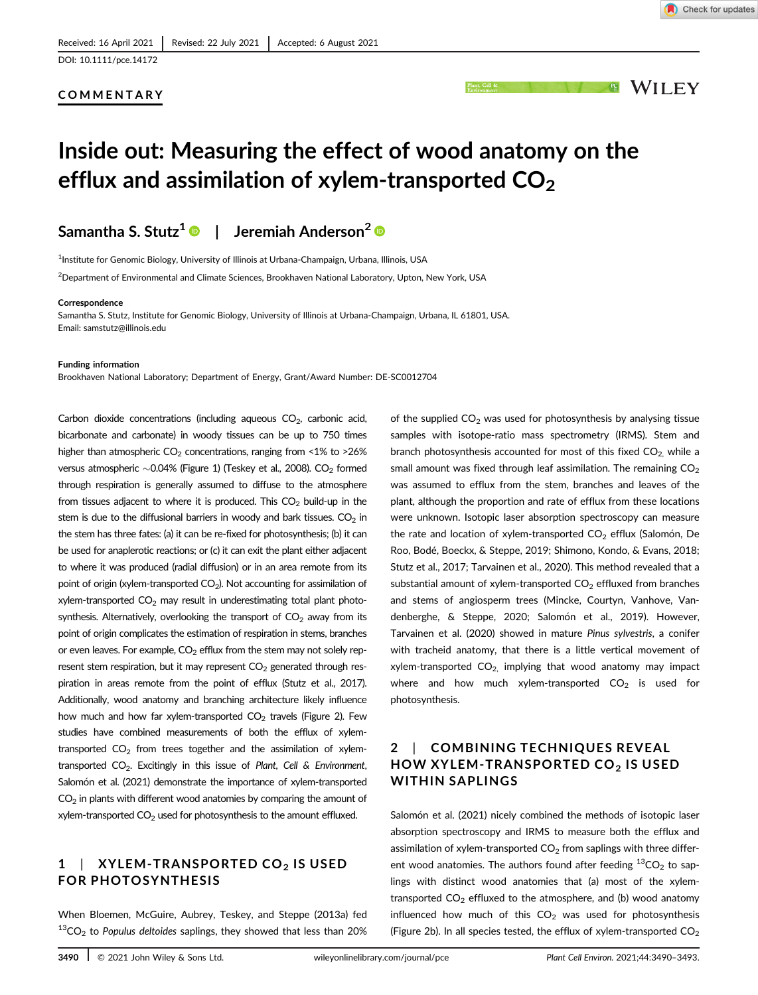## COMMENTARY



# Inside out: Measuring the effect of wood anatomy on the efflux and assimilation of xylem-transported  $CO<sub>2</sub>$

## Samantha S. Stutz<sup>1</sup>  $\bullet$  | Jeremiah Anderson<sup>2</sup>  $\bullet$

<sup>1</sup>Institute for Genomic Biology, University of Illinois at Urbana-Champaign, Urbana, Illinois, USA

 $^2$ Department of Environmental and Climate Sciences, Brookhaven National Laboratory, Upton, New York, USA

#### **Correspondence**

Samantha S. Stutz, Institute for Genomic Biology, University of Illinois at Urbana-Champaign, Urbana, IL 61801, USA. Email: [samstutz@illinois.edu](mailto:samstutz@illinois.edu)

#### Funding information

Brookhaven National Laboratory; Department of Energy, Grant/Award Number: DE-SC0012704

Carbon dioxide concentrations (including aqueous  $CO<sub>2</sub>$ , carbonic acid, bicarbonate and carbonate) in woody tissues can be up to 750 times higher than atmospheric  $CO<sub>2</sub>$  concentrations, ranging from <1% to >26% versus atmospheric  $\sim$  0.04% (Figure 1) (Teskey et al., 2008). CO<sub>2</sub> formed through respiration is generally assumed to diffuse to the atmosphere from tissues adjacent to where it is produced. This  $CO<sub>2</sub>$  build-up in the stem is due to the diffusional barriers in woody and bark tissues.  $CO<sub>2</sub>$  in the stem has three fates: (a) it can be re-fixed for photosynthesis; (b) it can be used for anaplerotic reactions; or (c) it can exit the plant either adjacent to where it was produced (radial diffusion) or in an area remote from its point of origin (xylem-transported  $CO<sub>2</sub>$ ). Not accounting for assimilation of xylem-transported  $CO<sub>2</sub>$  may result in underestimating total plant photosynthesis. Alternatively, overlooking the transport of  $CO<sub>2</sub>$  away from its point of origin complicates the estimation of respiration in stems, branches or even leaves. For example,  $CO<sub>2</sub>$  efflux from the stem may not solely represent stem respiration, but it may represent  $CO<sub>2</sub>$  generated through respiration in areas remote from the point of efflux (Stutz et al., 2017). Additionally, wood anatomy and branching architecture likely influence how much and how far xylem-transported  $CO<sub>2</sub>$  travels (Figure 2). Few studies have combined measurements of both the efflux of xylemtransported  $CO<sub>2</sub>$  from trees together and the assimilation of xylemtransported  $CO<sub>2</sub>$ . Excitingly in this issue of Plant, Cell & Environment, Salomón et al. (2021) demonstrate the importance of xylem-transported  $CO<sub>2</sub>$  in plants with different wood anatomies by comparing the amount of xylem-transported  $CO<sub>2</sub>$  used for photosynthesis to the amount effluxed.

## $1$  | XYLEM-TRANSPORTED CO<sub>2</sub> IS USED FOR PHOTOSYNTHESIS

When Bloemen, McGuire, Aubrey, Teskey, and Steppe (2013a) fed  $13$ CO<sub>2</sub> to Populus deltoides saplings, they showed that less than 20% of the supplied  $CO<sub>2</sub>$  was used for photosynthesis by analysing tissue samples with isotope-ratio mass spectrometry (IRMS). Stem and branch photosynthesis accounted for most of this fixed  $CO<sub>2</sub>$  while a small amount was fixed through leaf assimilation. The remaining  $CO<sub>2</sub>$ was assumed to efflux from the stem, branches and leaves of the plant, although the proportion and rate of efflux from these locations were unknown. Isotopic laser absorption spectroscopy can measure the rate and location of xylem-transported  $CO<sub>2</sub>$  efflux (Salomón, De Roo, Bodé, Boeckx, & Steppe, 2019; Shimono, Kondo, & Evans, 2018; Stutz et al., 2017; Tarvainen et al., 2020). This method revealed that a substantial amount of xylem-transported  $CO<sub>2</sub>$  effluxed from branches and stems of angiosperm trees (Mincke, Courtyn, Vanhove, Vandenberghe, & Steppe, 2020; Salomón et al., 2019). However, Tarvainen et al. (2020) showed in mature Pinus sylvestris, a conifer with tracheid anatomy, that there is a little vertical movement of xylem-transported  $CO<sub>2</sub>$ , implying that wood anatomy may impact where and how much xylem-transported  $CO<sub>2</sub>$  is used for photosynthesis.

## 2 | COMBINING TECHNIQUES REVEAL HOW XYLEM-TRANSPORTED CO<sub>2</sub> IS USED WITHIN SAPLINGS

Salomón et al. (2021) nicely combined the methods of isotopic laser absorption spectroscopy and IRMS to measure both the efflux and assimilation of xylem-transported  $CO<sub>2</sub>$  from saplings with three different wood anatomies. The authors found after feeding  ${}^{13}CO_2$  to saplings with distinct wood anatomies that (a) most of the xylemtransported  $CO<sub>2</sub>$  effluxed to the atmosphere, and (b) wood anatomy influenced how much of this  $CO<sub>2</sub>$  was used for photosynthesis (Figure 2b). In all species tested, the efflux of xylem-transported  $CO<sub>2</sub>$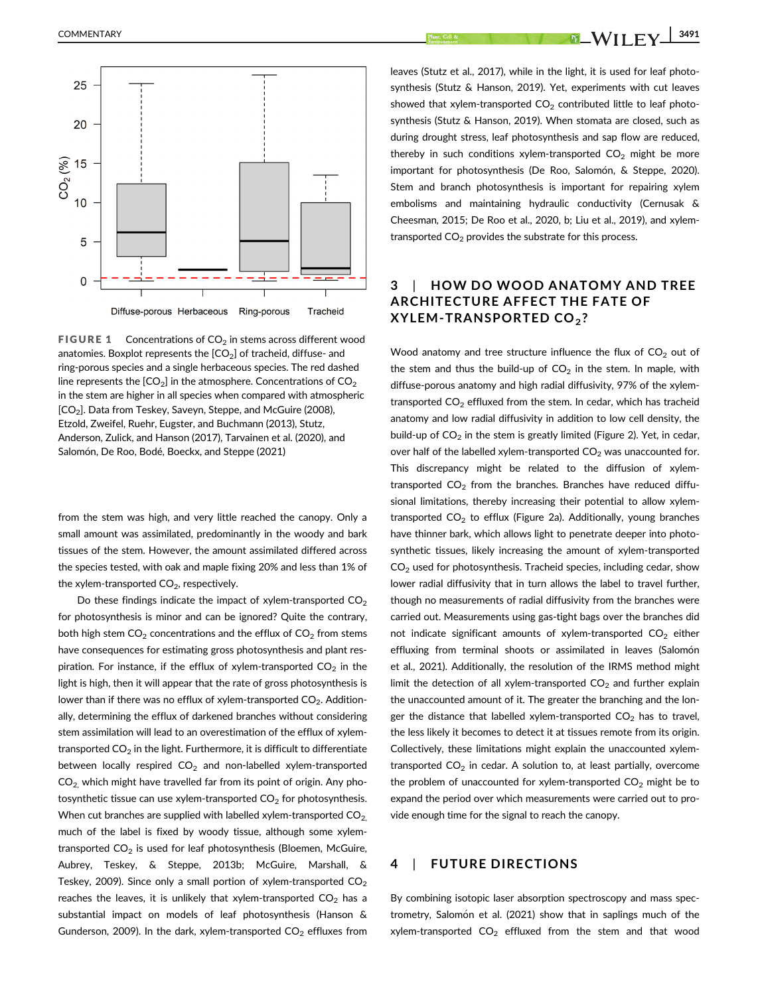

**FIGURE 1** Concentrations of  $CO<sub>2</sub>$  in stems across different wood anatomies. Boxplot represents the  $[CO<sub>2</sub>]$  of tracheid, diffuse- and ring-porous species and a single herbaceous species. The red dashed line represents the  $[CO<sub>2</sub>]$  in the atmosphere. Concentrations of  $CO<sub>2</sub>$ in the stem are higher in all species when compared with atmospheric [CO<sub>2</sub>]. Data from Teskey, Saveyn, Steppe, and McGuire (2008), Etzold, Zweifel, Ruehr, Eugster, and Buchmann (2013), Stutz, Anderson, Zulick, and Hanson (2017), Tarvainen et al. (2020), and Salomón, De Roo, Bodé, Boeckx, and Steppe (2021)

from the stem was high, and very little reached the canopy. Only a small amount was assimilated, predominantly in the woody and bark tissues of the stem. However, the amount assimilated differed across the species tested, with oak and maple fixing 20% and less than 1% of the xylem-transported  $CO<sub>2</sub>$ , respectively.

Do these findings indicate the impact of xylem-transported  $CO<sub>2</sub>$ for photosynthesis is minor and can be ignored? Quite the contrary, both high stem  $CO<sub>2</sub>$  concentrations and the efflux of  $CO<sub>2</sub>$  from stems have consequences for estimating gross photosynthesis and plant respiration. For instance, if the efflux of xylem-transported  $CO<sub>2</sub>$  in the light is high, then it will appear that the rate of gross photosynthesis is lower than if there was no efflux of xylem-transported  $CO<sub>2</sub>$ . Additionally, determining the efflux of darkened branches without considering stem assimilation will lead to an overestimation of the efflux of xylemtransported  $CO<sub>2</sub>$  in the light. Furthermore, it is difficult to differentiate between locally respired  $CO<sub>2</sub>$  and non-labelled xylem-transported  $CO<sub>2</sub>$  which might have travelled far from its point of origin. Any photosynthetic tissue can use xylem-transported  $CO<sub>2</sub>$  for photosynthesis. When cut branches are supplied with labelled xylem-transported  $CO<sub>2</sub>$ , much of the label is fixed by woody tissue, although some xylemtransported  $CO<sub>2</sub>$  is used for leaf photosynthesis (Bloemen, McGuire, Aubrey, Teskey, & Steppe, 2013b; McGuire, Marshall, & Teskey, 2009). Since only a small portion of xylem-transported  $CO<sub>2</sub>$ reaches the leaves, it is unlikely that xylem-transported  $CO<sub>2</sub>$  has a substantial impact on models of leaf photosynthesis (Hanson & Gunderson, 2009). In the dark, xylem-transported  $CO<sub>2</sub>$  effluxes from

 $\blacksquare$ COMMENTARY  $\blacksquare$   $\blacksquare$   $\blacksquare$   $\blacksquare$   $\blacksquare$   $\blacksquare$   $\blacksquare$   $\blacksquare$   $\blacksquare$   $\blacksquare$   $\blacksquare$   $\blacksquare$   $\blacksquare$   $\blacksquare$   $\blacksquare$   $\blacksquare$   $\blacksquare$   $\blacksquare$   $\blacksquare$   $\blacksquare$   $\blacksquare$   $\blacksquare$   $\blacksquare$   $\blacksquare$   $\blacksquare$   $\blacksquare$   $\blacksquare$   $\blacksquare$   $\blacksquare$ 

leaves (Stutz et al., 2017), while in the light, it is used for leaf photosynthesis (Stutz & Hanson, 2019). Yet, experiments with cut leaves showed that xylem-transported  $CO<sub>2</sub>$  contributed little to leaf photosynthesis (Stutz & Hanson, 2019). When stomata are closed, such as during drought stress, leaf photosynthesis and sap flow are reduced, thereby in such conditions xylem-transported  $CO<sub>2</sub>$  might be more important for photosynthesis (De Roo, Salomón, & Steppe, 2020). Stem and branch photosynthesis is important for repairing xylem embolisms and maintaining hydraulic conductivity (Cernusak & Cheesman, 2015; De Roo et al., 2020, b; Liu et al., 2019), and xylemtransported  $CO<sub>2</sub>$  provides the substrate for this process.

## 3 | HOW DO WOOD ANATOMY AND TREE ARCHITECTURE AFFECT THE FATE OF XYLEM-TRANSPORTED CO<sub>2</sub>?

Wood anatomy and tree structure influence the flux of  $CO<sub>2</sub>$  out of the stem and thus the build-up of  $CO<sub>2</sub>$  in the stem. In maple, with diffuse-porous anatomy and high radial diffusivity, 97% of the xylemtransported  $CO<sub>2</sub>$  effluxed from the stem. In cedar, which has tracheid anatomy and low radial diffusivity in addition to low cell density, the build-up of  $CO<sub>2</sub>$  in the stem is greatly limited (Figure 2). Yet, in cedar, over half of the labelled xylem-transported  $CO<sub>2</sub>$  was unaccounted for. This discrepancy might be related to the diffusion of xylemtransported  $CO<sub>2</sub>$  from the branches. Branches have reduced diffusional limitations, thereby increasing their potential to allow xylemtransported  $CO<sub>2</sub>$  to efflux (Figure 2a). Additionally, young branches have thinner bark, which allows light to penetrate deeper into photosynthetic tissues, likely increasing the amount of xylem-transported  $CO<sub>2</sub>$  used for photosynthesis. Tracheid species, including cedar, show lower radial diffusivity that in turn allows the label to travel further, though no measurements of radial diffusivity from the branches were carried out. Measurements using gas-tight bags over the branches did not indicate significant amounts of xylem-transported  $CO<sub>2</sub>$  either effluxing from terminal shoots or assimilated in leaves (Salomón et al., 2021). Additionally, the resolution of the IRMS method might limit the detection of all xylem-transported  $CO<sub>2</sub>$  and further explain the unaccounted amount of it. The greater the branching and the longer the distance that labelled xylem-transported  $CO<sub>2</sub>$  has to travel, the less likely it becomes to detect it at tissues remote from its origin. Collectively, these limitations might explain the unaccounted xylemtransported  $CO<sub>2</sub>$  in cedar. A solution to, at least partially, overcome the problem of unaccounted for xylem-transported  $CO<sub>2</sub>$  might be to expand the period over which measurements were carried out to provide enough time for the signal to reach the canopy.

#### 4 | FUTURE DIRECTIONS

By combining isotopic laser absorption spectroscopy and mass spectrometry, Salomón et al. (2021) show that in saplings much of the xylem-transported  $CO<sub>2</sub>$  effluxed from the stem and that wood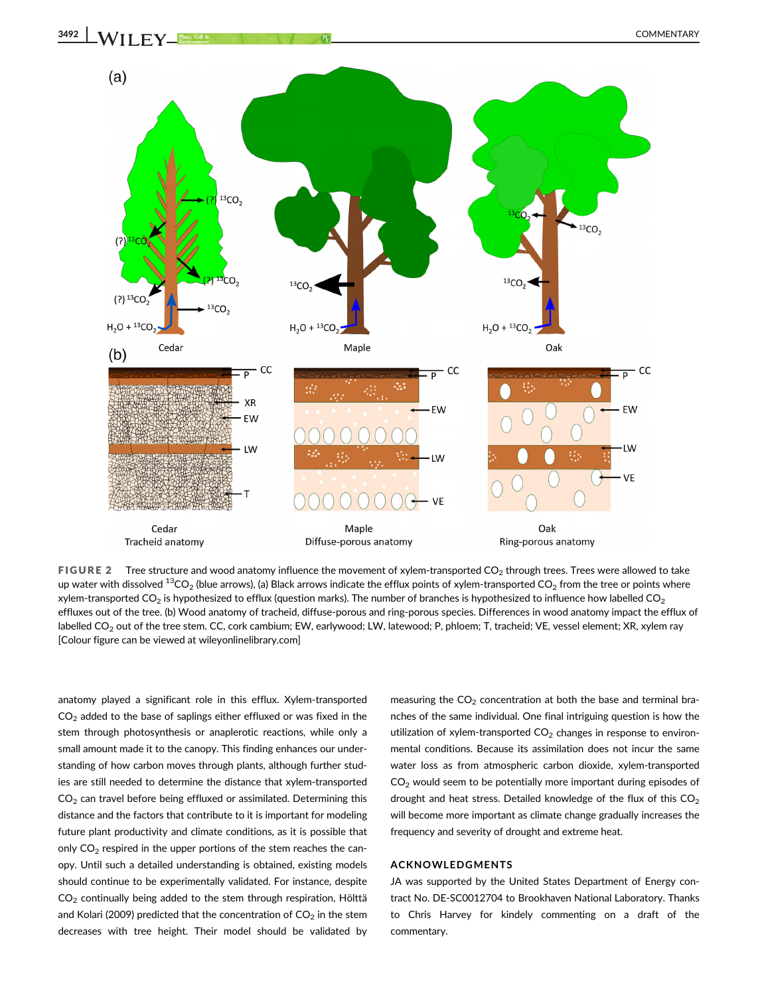

FIGURE 2 Tree structure and wood anatomy influence the movement of xylem-transported  $CO<sub>2</sub>$  through trees. Trees were allowed to take up water with dissolved  ${}^{13}CO_2$  (blue arrows), (a) Black arrows indicate the efflux points of xylem-transported  $CO_2$  from the tree or points where xylem-transported CO<sub>2</sub> is hypothesized to efflux (question marks). The number of branches is hypothesized to influence how labelled CO<sub>2</sub> effluxes out of the tree. (b) Wood anatomy of tracheid, diffuse-porous and ring-porous species. Differences in wood anatomy impact the efflux of labelled CO<sub>2</sub> out of the tree stem. CC, cork cambium; EW, earlywood; LW, latewood; P, phloem; T, tracheid; VE, vessel element; XR, xylem ray [Colour figure can be viewed at [wileyonlinelibrary.com\]](http://wileyonlinelibrary.com)

anatomy played a significant role in this efflux. Xylem-transported  $CO<sub>2</sub>$  added to the base of saplings either effluxed or was fixed in the stem through photosynthesis or anaplerotic reactions, while only a small amount made it to the canopy. This finding enhances our understanding of how carbon moves through plants, although further studies are still needed to determine the distance that xylem-transported  $CO<sub>2</sub>$  can travel before being effluxed or assimilated. Determining this distance and the factors that contribute to it is important for modeling future plant productivity and climate conditions, as it is possible that only  $CO<sub>2</sub>$  respired in the upper portions of the stem reaches the canopy. Until such a detailed understanding is obtained, existing models should continue to be experimentally validated. For instance, despite  $CO<sub>2</sub>$  continually being added to the stem through respiration, Hölttä and Kolari (2009) predicted that the concentration of  $CO<sub>2</sub>$  in the stem decreases with tree height. Their model should be validated by

measuring the  $CO<sub>2</sub>$  concentration at both the base and terminal branches of the same individual. One final intriguing question is how the utilization of xylem-transported  $CO<sub>2</sub>$  changes in response to environmental conditions. Because its assimilation does not incur the same water loss as from atmospheric carbon dioxide, xylem-transported  $CO<sub>2</sub>$  would seem to be potentially more important during episodes of drought and heat stress. Detailed knowledge of the flux of this  $CO<sub>2</sub>$ will become more important as climate change gradually increases the frequency and severity of drought and extreme heat.

#### ACKNOWLEDGMENTS

JA was supported by the United States Department of Energy contract No. DE-SC0012704 to Brookhaven National Laboratory. Thanks to Chris Harvey for kindely commenting on a draft of the commentary.